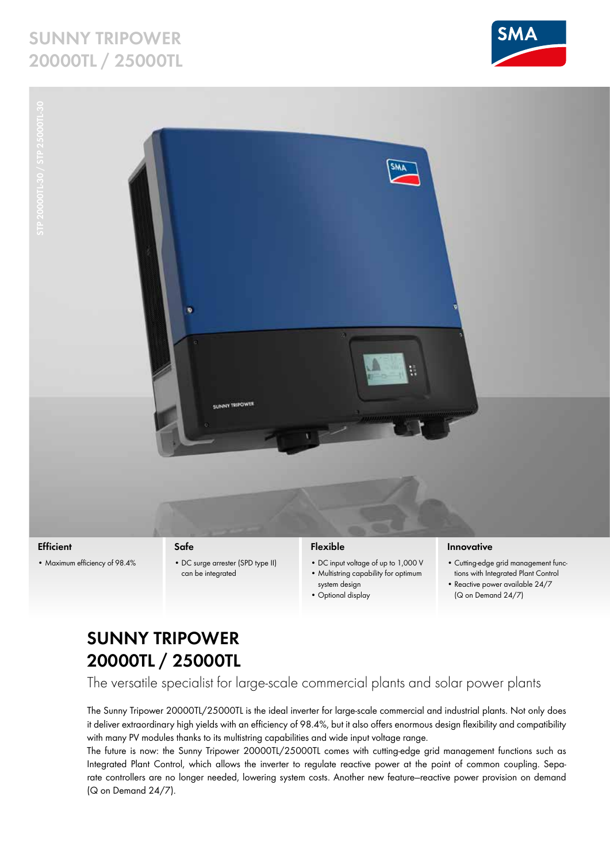# **Sunny Tripower 20000TL / 25000TL**





**Efficient** • Maximum efficiency of 98.4%

### **Safe**

• DC surge arrester (SPD type II) can be integrated

### **Flexible**

- • DC input voltage of up to 1,000 V • Multistring capability for optimum
- system design • Optional display

#### **Innovative**

- • Cutting-edge grid management functions with Integrated Plant Control
- Reactive power available 24/7
- 
- (Q on Demand 24/7)

# **Sunny Tripower 20000TL / 25000TL**

The versatile specialist for large-scale commercial plants and solar power plants

The Sunny Tripower 20000TL/25000TL is the ideal inverter for large-scale commercial and industrial plants. Not only does it deliver extraordinary high yields with an efficiency of 98.4%, but it also offers enormous design flexibility and compatibility with many PV modules thanks to its multistring capabilities and wide input voltage range.

The future is now: the Sunny Tripower 20000TL/25000TL comes with cutting-edge grid management functions such as Integrated Plant Control, which allows the inverter to regulate reactive power at the point of common coupling. Separate controllers are no longer needed, lowering system costs. Another new feature—reactive power provision on demand (Q on Demand 24/7).